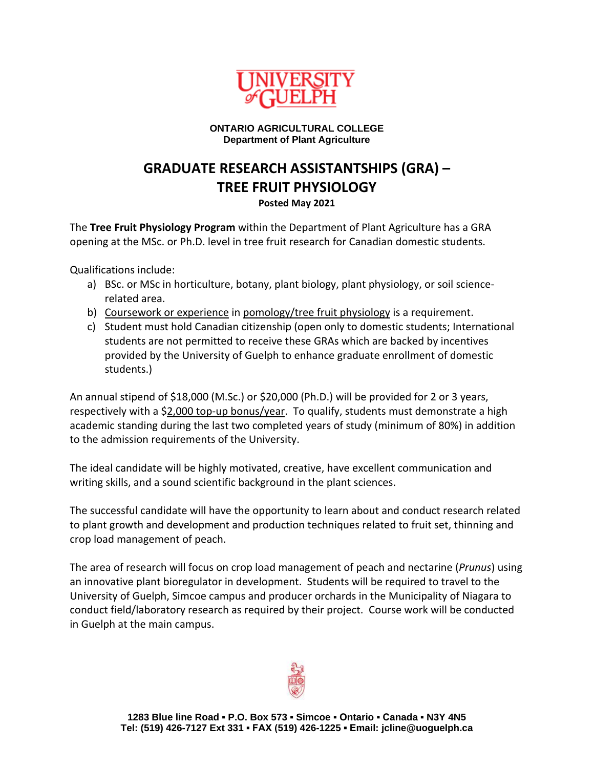

## **ONTARIO AGRICULTURAL COLLEGE Department of Plant Agriculture**

## **GRADUATE RESEARCH ASSISTANTSHIPS (GRA) – TREE FRUIT PHYSIOLOGY**

**Posted May 2021**

The **Tree Fruit Physiology Program** within the Department of Plant Agriculture has a GRA opening at the MSc. or Ph.D. level in tree fruit research for Canadian domestic students.

Qualifications include:

- a) BSc. or MSc in horticulture, botany, plant biology, plant physiology, or soil sciencerelated area.
- b) Coursework or experience in pomology/tree fruit physiology is a requirement.
- c) Student must hold Canadian citizenship (open only to domestic students; International students are not permitted to receive these GRAs which are backed by incentives provided by the University of Guelph to enhance graduate enrollment of domestic students.)

An annual stipend of \$18,000 (M.Sc.) or \$20,000 (Ph.D.) will be provided for 2 or 3 years, respectively with a \$2,000 top-up bonus/year. To qualify, students must demonstrate a high academic standing during the last two completed years of study (minimum of 80%) in addition to the admission requirements of the University.

The ideal candidate will be highly motivated, creative, have excellent communication and writing skills, and a sound scientific background in the plant sciences.

The successful candidate will have the opportunity to learn about and conduct research related to plant growth and development and production techniques related to fruit set, thinning and crop load management of peach.

The area of research will focus on crop load management of peach and nectarine (*Prunus*) using an innovative plant bioregulator in development. Students will be required to travel to the University of Guelph, Simcoe campus and producer orchards in the Municipality of Niagara to conduct field/laboratory research as required by their project. Course work will be conducted in Guelph at the main campus.